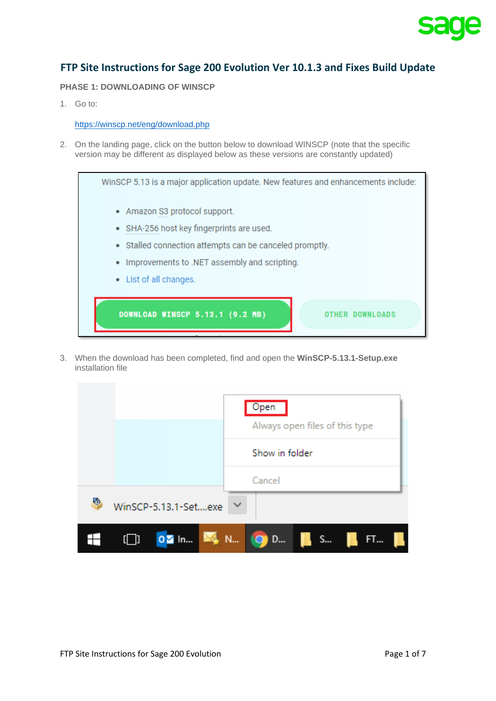

## **FTP Site Instructions for Sage 200 Evolution Ver 10.1.3 and Fixes Build Update**

## **PHASE 1: DOWNLOADING OF WINSCP**

1. Go to:

## <https://winscp.net/eng/download.php>

2. On the landing page, click on the button below to download WINSCP (note that the specific version may be different as displayed below as these versions are constantly updated)

WinSCP 5.13 is a major application update. New features and enhancements include: • Amazon S3 protocol support. • SHA-256 host key fingerprints are used. • Stalled connection attempts can be canceled promptly. • Improvements to .NET assembly and scripting. • List of all changes. **OTHER DOWNLOADS** DOWNLOAD WINSCP 5.13.1 (9.2 MB)

3. When the download has been completed, find and open the **WinSCP-5.13.1-Setup.exe** installation file

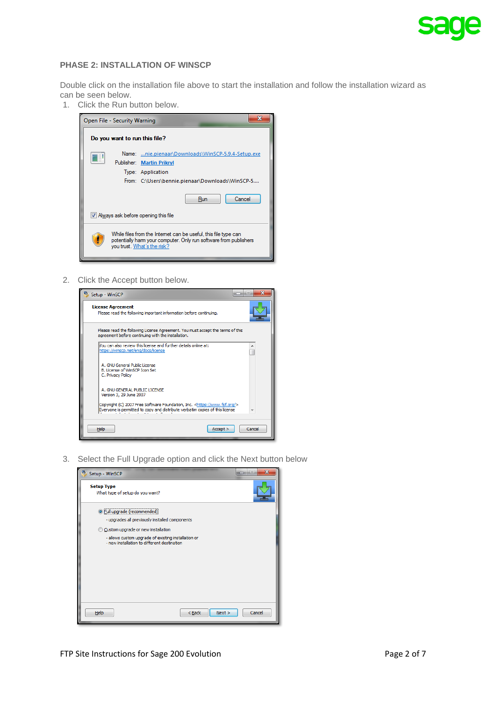

### **PHASE 2: INSTALLATION OF WINSCP**

Double click on the installation file above to start the installation and follow the installation wizard as can be seen below.

1. Click the Run button below.



2. Click the Accept button below.



3. Select the Full Upgrade option and click the Next button below

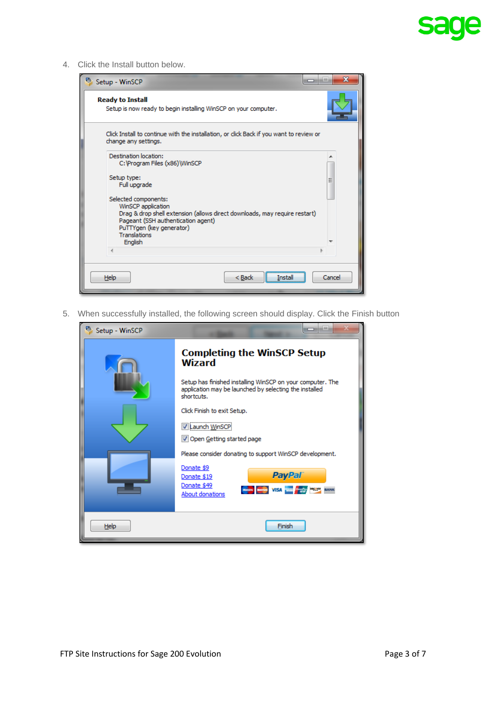# <u>sa</u> de

4. Click the Install button below.

| <sup>6</sup> Setup - WinSCP                                                                                                                                                                                                                                                                                            | $\mathbf x$ |
|------------------------------------------------------------------------------------------------------------------------------------------------------------------------------------------------------------------------------------------------------------------------------------------------------------------------|-------------|
| <b>Ready to Install</b><br>Setup is now ready to begin installing WinSCP on your computer.                                                                                                                                                                                                                             |             |
| Click Install to continue with the installation, or click Back if you want to review or<br>change any settings.                                                                                                                                                                                                        |             |
| Destination location:<br>C: \Program Files (x86)\WinSCP<br>Setup type:<br>Full upgrade<br>Selected components:<br>WinSCP application<br>Drag & drop shell extension (allows direct downloads, may require restart)<br>Pageant (SSH authentication agent)<br>PuTTYgen (key generator)<br><b>Translations</b><br>English | Ξ           |
| $Back$<br><b>Help</b><br>Install                                                                                                                                                                                                                                                                                       | Cancel      |

5. When successfully installed, the following screen should display. Click the Finish button

| Setup - WinSCP | --                                                                                                                                                                                       |
|----------------|------------------------------------------------------------------------------------------------------------------------------------------------------------------------------------------|
|                | <b>Completing the WinSCP Setup</b><br><b>Wizard</b>                                                                                                                                      |
|                | Setup has finished installing WinSCP on your computer. The<br>application may be launched by selecting the installed<br>shortcuts.                                                       |
|                | Click Finish to exit Setup.<br>V Launch WinSCP<br>Open Getting started page                                                                                                              |
|                | Please consider donating to support WinSCP development.<br>Donate \$9<br><b>PayPal</b><br>Donate \$19<br>Donate \$49<br><b>Region Compas VISA THE PERSON BUILDING</b><br>About donations |
| Help           | Finish                                                                                                                                                                                   |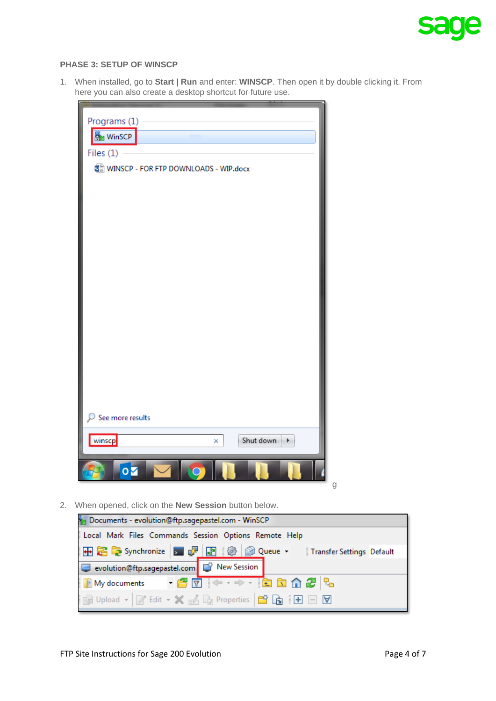

## **PHASE 3: SETUP OF WINSCP**

1. When installed, go to **Start | Run** and enter: **WINSCP**. Then open it by double clicking it. From here you can also create a desktop shortcut for future use.

| Programs (1)<br>WinSCP                |   |
|---------------------------------------|---|
| Files $(1)$                           |   |
| WINSCP - FOR FTP DOWNLOADS - WIP.docx |   |
|                                       |   |
|                                       |   |
|                                       |   |
|                                       |   |
|                                       |   |
|                                       |   |
|                                       |   |
|                                       |   |
|                                       |   |
|                                       |   |
|                                       |   |
|                                       |   |
|                                       |   |
| See more results                      |   |
|                                       |   |
| winscp<br>Shut down<br>X              |   |
| $\mathbf{o}$                          | g |

2. When opened, click on the **New Session** button below.

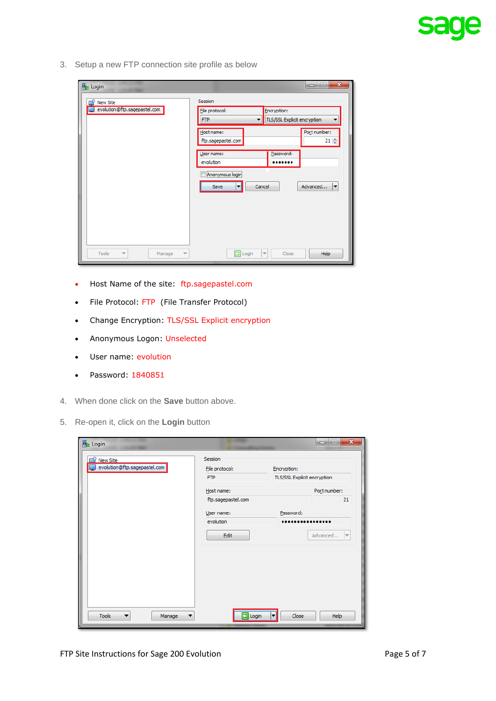3. Setup a new FTP connection site profile as below

| <b>A</b> Login                                                          | $\mathbf{x}$<br>فعاده                                                                |  |  |  |  |  |  |
|-------------------------------------------------------------------------|--------------------------------------------------------------------------------------|--|--|--|--|--|--|
| New Site                                                                | Session                                                                              |  |  |  |  |  |  |
| evolution@ftp.sagepastel.com                                            | File protocol:<br>Encryption:<br>TLS/SSL Explicit encryption<br><b>FTP</b><br>▼<br>▼ |  |  |  |  |  |  |
|                                                                         | Port number:<br>Host name:<br>$21 -$<br>ftp.sagepastel.com                           |  |  |  |  |  |  |
|                                                                         | Password:<br>User name:<br>evolution<br>                                             |  |  |  |  |  |  |
|                                                                         | Anonymous login<br>Advanced<br>Cancel<br>Save<br> ▼<br>◘                             |  |  |  |  |  |  |
|                                                                         |                                                                                      |  |  |  |  |  |  |
|                                                                         |                                                                                      |  |  |  |  |  |  |
|                                                                         |                                                                                      |  |  |  |  |  |  |
| Tools<br>Manage<br>$\overline{\phantom{a}}$<br>$\overline{\phantom{a}}$ | $\Box$ Login<br>Help<br>l w<br>Close                                                 |  |  |  |  |  |  |

- Host Name of the site: [ftp.sagepastel.com](ftp://ftp.sagepastel.com/)
- File Protocol: FTP (File Transfer Protocol)
- Change Encryption: TLS/SSL Explicit encryption
- Anonymous Logon: Unselected
- User name: evolution
- Password: 1840851
- 4. When done click on the **Save** button above.
- 5. Re-open it, click on the **Login** button

| <b>New Site</b>              | Session            |                                      |
|------------------------------|--------------------|--------------------------------------|
| evolution@ftp.sagepastel.com | File protocol:     | Encryption:                          |
|                              | <b>FTP</b>         | TLS/SSL Explicit encryption          |
|                              | Host name:         | Port number:                         |
|                              | ftp.sagepastel.com | 21                                   |
|                              | User name:         | Password:                            |
|                              | evolution          |                                      |
|                              | Edit               | Advanced<br>$\overline{\phantom{0}}$ |
|                              |                    |                                      |
|                              |                    |                                      |
|                              |                    |                                      |
|                              |                    |                                      |
|                              |                    |                                      |
|                              |                    |                                      |
|                              |                    |                                      |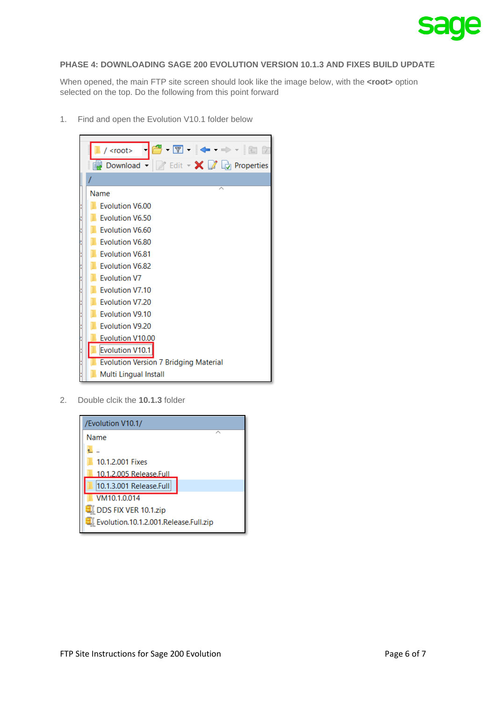

## **PHASE 4: DOWNLOADING SAGE 200 EVOLUTION VERSION 10.1.3 AND FIXES BUILD UPDATE**

When opened, the main FTP site screen should look like the image below, with the **<root>** option selected on the top. Do the following from this point forward

1. Find and open the Evolution V10.1 folder below



2. Double clcik the **10.1.3** folder